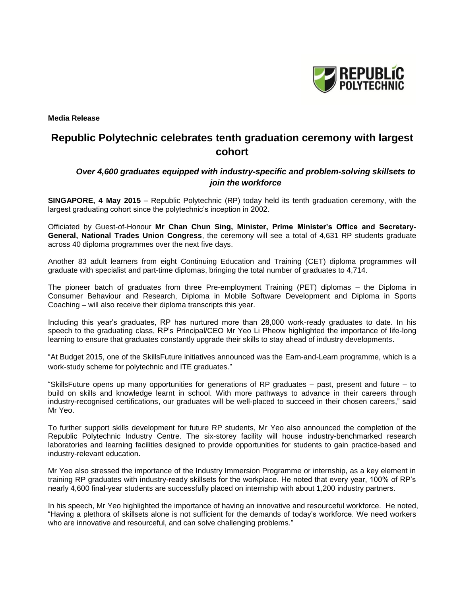

**Media Release** 

# **Republic Polytechnic celebrates tenth graduation ceremony with largest cohort**

# *Over 4,600 graduates equipped with industry-specific and problem-solving skillsets to join the workforce*

**SINGAPORE, 4 May 2015** – Republic Polytechnic (RP) today held its tenth graduation ceremony, with the largest graduating cohort since the polytechnic's inception in 2002.

Officiated by Guest-of-Honour **Mr Chan Chun Sing, Minister, Prime Minister's Office and Secretary-General, National Trades Union Congress**, the ceremony will see a total of 4,631 RP students graduate across 40 diploma programmes over the next five days.

Another 83 adult learners from eight Continuing Education and Training (CET) diploma programmes will graduate with specialist and part-time diplomas, bringing the total number of graduates to 4,714.

The pioneer batch of graduates from three Pre-employment Training (PET) diplomas – the Diploma in Consumer Behaviour and Research, Diploma in Mobile Software Development and Diploma in Sports Coaching – will also receive their diploma transcripts this year.

Including this year's graduates, RP has nurtured more than 28,000 work-ready graduates to date. In his speech to the graduating class, RP's Principal/CEO Mr Yeo Li Pheow highlighted the importance of life-long learning to ensure that graduates constantly upgrade their skills to stay ahead of industry developments.

"At Budget 2015, one of the SkillsFuture initiatives announced was the Earn-and-Learn programme, which is a work-study scheme for polytechnic and ITE graduates."

"SkillsFuture opens up many opportunities for generations of RP graduates – past, present and future – to build on skills and knowledge learnt in school. With more pathways to advance in their careers through industry-recognised certifications, our graduates will be well-placed to succeed in their chosen careers," said Mr Yeo.

To further support skills development for future RP students, Mr Yeo also announced the completion of the Republic Polytechnic Industry Centre. The six-storey facility will house industry-benchmarked research laboratories and learning facilities designed to provide opportunities for students to gain practice-based and industry-relevant education.

Mr Yeo also stressed the importance of the Industry Immersion Programme or internship, as a key element in training RP graduates with industry-ready skillsets for the workplace. He noted that every year, 100% of RP's nearly 4,600 final-year students are successfully placed on internship with about 1,200 industry partners.

In his speech, Mr Yeo highlighted the importance of having an innovative and resourceful workforce. He noted, "Having a plethora of skillsets alone is not sufficient for the demands of today's workforce. We need workers who are innovative and resourceful, and can solve challenging problems."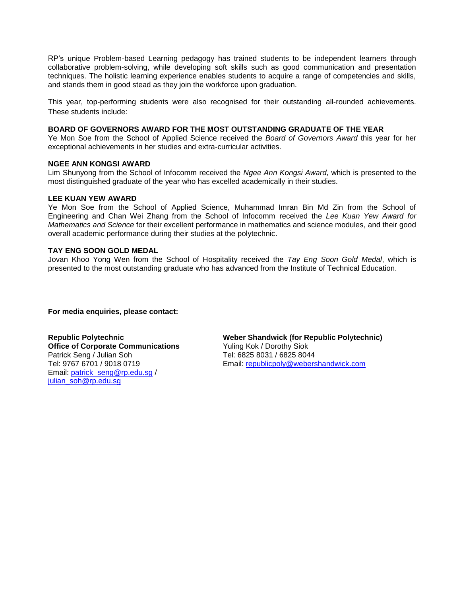RP's unique Problem-based Learning pedagogy has trained students to be independent learners through collaborative problem-solving, while developing soft skills such as good communication and presentation techniques. The holistic learning experience enables students to acquire a range of competencies and skills, and stands them in good stead as they join the workforce upon graduation.

This year, top-performing students were also recognised for their outstanding all-rounded achievements. These students include:

### **BOARD OF GOVERNORS AWARD FOR THE MOST OUTSTANDING GRADUATE OF THE YEAR**

Ye Mon Soe from the School of Applied Science received the *Board of Governors Award* this year for her exceptional achievements in her studies and extra-curricular activities.

#### **NGEE ANN KONGSI AWARD**

Lim Shunyong from the School of Infocomm received the *Ngee Ann Kongsi Award*, which is presented to the most distinguished graduate of the year who has excelled academically in their studies.

### **LEE KUAN YEW AWARD**

Ye Mon Soe from the School of Applied Science, Muhammad Imran Bin Md Zin from the School of Engineering and Chan Wei Zhang from the School of Infocomm received the *Lee Kuan Yew Award for Mathematics and Science* for their excellent performance in mathematics and science modules, and their good overall academic performance during their studies at the polytechnic.

#### **TAY ENG SOON GOLD MEDAL**

Jovan Khoo Yong Wen from the School of Hospitality received the *Tay Eng Soon Gold Medal*, which is presented to the most outstanding graduate who has advanced from the Institute of Technical Education.

#### **For media enquiries, please contact:**

**Republic Polytechnic Office of Corporate Communications** Patrick Seng / Julian Soh Tel: 9767 6701 / 9018 0719 Email: [patrick\\_seng@rp.edu.sg](mailto:patrick_seng@rp.edu.sg) / [julian\\_soh@rp.edu.sg](mailto:julian_soh@rp.edu.sg)

**Weber Shandwick (for Republic Polytechnic)** Yuling Kok / Dorothy Siok Tel: 6825 8031 / 6825 8044 Email: [republicpoly@webershandwick.com](mailto:republicpoly@webershandwick.com)